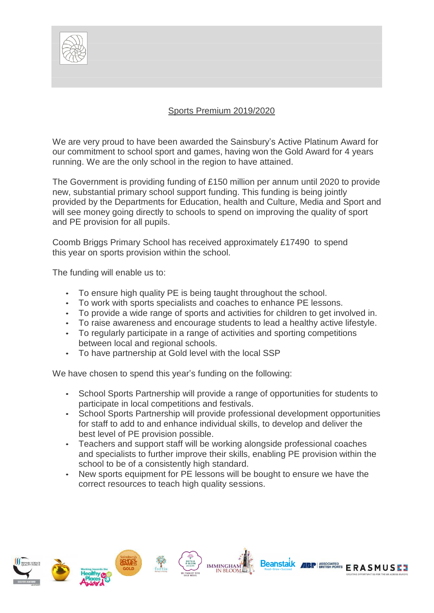

## Sports Premium 2019/2020

We are very proud to have been awarded the Sainsbury's Active Platinum Award for our commitment to school sport and games, having won the Gold Award for 4 years running. We are the only school in the region to have attained.

The Government is providing funding of £150 million per annum until 2020 to provide new, substantial primary school support funding. This funding is being jointly provided by the Departments for Education, health and Culture, Media and Sport and will see money going directly to schools to spend on improving the quality of sport and PE provision for all pupils.

Coomb Briggs Primary School has received approximately £17490 to spend this year on sports provision within the school.

The funding will enable us to:

- To ensure high quality PE is being taught throughout the school.
- To work with sports specialists and coaches to enhance PE lessons.
- To provide a wide range of sports and activities for children to get involved in.
- To raise awareness and encourage students to lead a healthy active lifestyle.
- To regularly participate in a range of activities and sporting competitions between local and regional schools.
- To have partnership at Gold level with the local SSP

We have chosen to spend this year's funding on the following:

- School Sports Partnership will provide a range of opportunities for students to participate in local competitions and festivals.
- School Sports Partnership will provide professional development opportunities for staff to add to and enhance individual skills, to develop and deliver the best level of PE provision possible.
- Teachers and support staff will be working alongside professional coaches and specialists to further improve their skills, enabling PE provision within the school to be of a consistently high standard.
- New sports equipment for PE lessons will be bought to ensure we have the correct resources to teach high quality sessions.

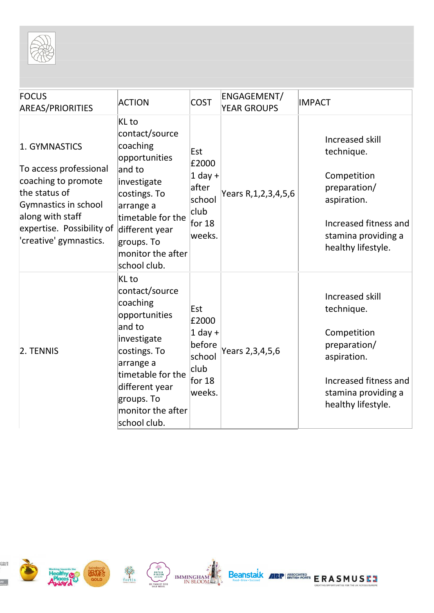

| <b>FOCUS</b><br><b>AREAS/PRIORITIES</b>                                                                                                                                                           | <b>ACTION</b>                                                                                                                                                                                        | <b>COST</b>                                                                 | ENGAGEMENT/<br><b>YEAR GROUPS</b> | <b>IMPACT</b>                                                                                                                                     |
|---------------------------------------------------------------------------------------------------------------------------------------------------------------------------------------------------|------------------------------------------------------------------------------------------------------------------------------------------------------------------------------------------------------|-----------------------------------------------------------------------------|-----------------------------------|---------------------------------------------------------------------------------------------------------------------------------------------------|
| 1. GYMNASTICS<br>To access professional<br>coaching to promote<br>the status of<br>Gymnastics in school<br>along with staff<br>expertise. Possibility of different year<br>'creative' gymnastics. | KL to<br>contact/source<br>coaching<br>opportunities<br>and to<br>investigate<br>costings. To<br>arrange a<br>timetable for the<br>groups. To<br>monitor the after<br>school club.                   | Est<br>£2000<br>$1$ day +<br>after<br>school<br>club<br>for $18$<br>weeks.  | Years R, 1, 2, 3, 4, 5, 6         | Increased skill<br>technique.<br>Competition<br>preparation/<br>aspiration.<br>Increased fitness and<br>stamina providing a<br>healthy lifestyle. |
| 2. TENNIS                                                                                                                                                                                         | KL to<br>contact/source<br>coaching<br>opportunities<br>and to<br>investigate<br>costings. To<br>arrange a<br>timetable for the<br>different year<br>groups. To<br>monitor the after<br>school club. | Est<br>£2000<br>$1$ day +<br>before<br>school<br>club<br>for $18$<br>weeks. | Years 2,3,4,5,6                   | Increased skill<br>technique.<br>Competition<br>preparation/<br>aspiration.<br>Increased fitness and<br>stamina providing a<br>healthy lifestyle. |











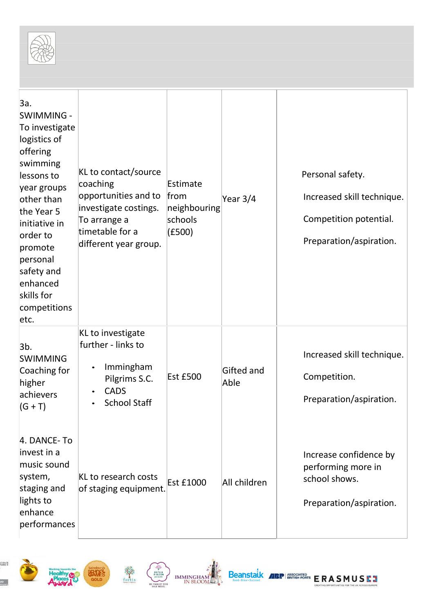

| За.<br><b>SWIMMING -</b><br>To investigate<br>logistics of<br>offering<br>swimming<br>lessons to<br>year groups<br>other than<br>the Year 5<br>initiative in<br>order to<br>promote<br>personal<br>safety and<br>enhanced<br>skills for<br>competitions<br>etc. | KL to contact/source<br>coaching<br>opportunities and to<br>investigate costings.<br>To arrange a<br>timetable for a<br>different year group. | Estimate<br>from<br>neighbouring<br>schools<br>(£500) | Year 3/4           | Personal safety.<br>Increased skill technique.<br>Competition potential.<br>Preparation/aspiration. |
|-----------------------------------------------------------------------------------------------------------------------------------------------------------------------------------------------------------------------------------------------------------------|-----------------------------------------------------------------------------------------------------------------------------------------------|-------------------------------------------------------|--------------------|-----------------------------------------------------------------------------------------------------|
| 3 <sub>b</sub><br><b>SWIMMING</b><br>Coaching for<br>higher<br>achievers<br>$(G + T)$                                                                                                                                                                           | KL to investigate<br>further - links to<br>Immingham<br>$\bullet$<br>Pilgrims S.C.<br><b>CADS</b><br><b>School Staff</b>                      | <b>Est £500</b>                                       | Gifted and<br>Able | Increased skill technique.<br>Competition.<br>Preparation/aspiration.                               |
| 4. DANCE-To<br>invest in a<br>music sound<br>system,<br>staging and<br>lights to<br>enhance<br>performances                                                                                                                                                     | KL to research costs<br>of staging equipment.                                                                                                 | <b>Est £1000</b>                                      | All children       | Increase confidence by<br>performing more in<br>school shows.<br>Preparation/aspiration.            |









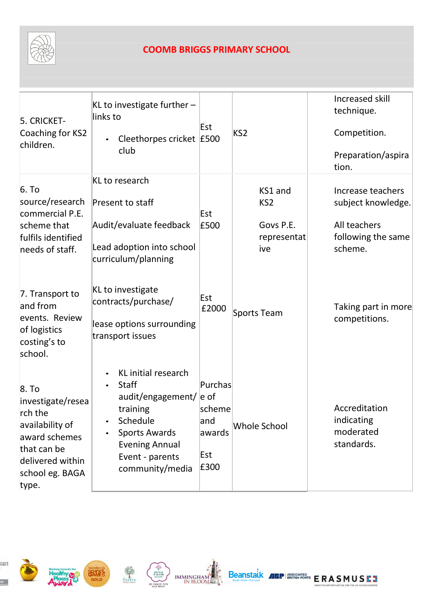

## **COOMB BRIGGS PRIMARY SCHOOL**

| 5. CRICKET-<br>Coaching for KS2<br>children.                                                                                             | $KL$ to investigate further $-$<br>links to<br>Cleethorpes cricket E500<br>$\bullet$<br>club                                                                     | Est                                                       | KS <sub>2</sub>                                               | Increased skill<br>technique.<br>Competition.<br>Preparation/aspira<br>tion.             |
|------------------------------------------------------------------------------------------------------------------------------------------|------------------------------------------------------------------------------------------------------------------------------------------------------------------|-----------------------------------------------------------|---------------------------------------------------------------|------------------------------------------------------------------------------------------|
| 6. To<br>source/research<br>commercial P.E.<br>scheme that<br>fulfils identified<br>needs of staff.                                      | KL to research<br>Present to staff<br>Audit/evaluate feedback<br>Lead adoption into school<br>curriculum/planning                                                | Est<br>£500                                               | KS1 and<br>KS <sub>2</sub><br>Govs P.E.<br>representat<br>ive | Increase teachers<br>subject knowledge.<br>All teachers<br>following the same<br>scheme. |
| 7. Transport to<br>and from<br>events. Review<br>of logistics<br>costing's to<br>school.                                                 | KL to investigate<br>contracts/purchase/<br>lease options surrounding<br>transport issues                                                                        | Est<br>£2000                                              | Sports Team                                                   | Taking part in more<br>competitions.                                                     |
| 8. To<br>investigate/resea<br>rch the<br>availability of<br>award schemes<br>that can be<br>delivered within<br>school eg. BAGA<br>type. | KL initial research<br>Staff<br>audit/engagement/<br>training<br>Schedule<br><b>Sports Awards</b><br><b>Evening Annual</b><br>Event - parents<br>community/media | Purchas<br>e of<br>scheme<br>and<br>awards<br>Est<br>£300 | <b>Whole School</b>                                           | Accreditation<br>indicating<br>moderated<br>standards.                                   |